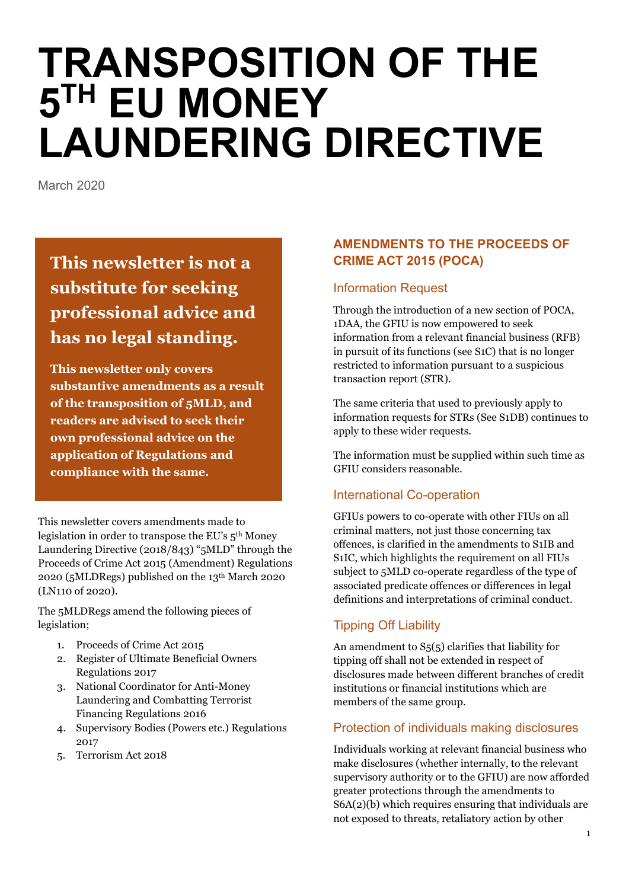# **TRANSPOSITION OF THE**   $5<sup>TH</sup>$  EU MONEY **LAUNDERING DIRECTIVE**

March 2020

# **This newsletter is not a substitute for seeking professional advice and has no legal standing.**

**This newsletter only covers substantive amendments as a result of the transposition of 5MLD, and readers are advised to seek their own professional advice on the application of Regulations and compliance with the same.**

This newsletter covers amendments made to legislation in order to transpose the EU's 5th Money Laundering Directive (2018/843) "5MLD" through the Proceeds of Crime Act 2015 (Amendment) Regulations 2020 (5MLDRegs) published on the 13th March 2020 (LN110 of 2020).

The 5MLDRegs amend the following pieces of legislation;

- 1. Proceeds of Crime Act 2015
- 2. Register of Ultimate Beneficial Owners Regulations 2017
- 3. National Coordinator for Anti-Money Laundering and Combatting Terrorist Financing Regulations 2016
- 4. Supervisory Bodies (Powers etc.) Regulations 2017
- 5. Terrorism Act 2018

# **AMENDMENTS TO THE PROCEEDS OF CRIME ACT 2015 (POCA)**

### Information Request

Through the introduction of a new section of POCA, 1DAA, the GFIU is now empowered to seek information from a relevant financial business (RFB) in pursuit of its functions (see S1C) that is no longer restricted to information pursuant to a suspicious transaction report (STR).

The same criteria that used to previously apply to information requests for STRs (See S1DB) continues to apply to these wider requests.

The information must be supplied within such time as GFIU considers reasonable.

# International Co-operation

GFIUs powers to co-operate with other FIUs on all criminal matters, not just those concerning tax offences, is clarified in the amendments to S1IB and S1IC, which highlights the requirement on all FIUs subject to 5MLD co-operate regardless of the type of associated predicate offences or differences in legal definitions and interpretations of criminal conduct.

# Tipping Off Liability

An amendment to S5(5) clarifies that liability for tipping off shall not be extended in respect of disclosures made between different branches of credit institutions or financial institutions which are members of the same group.

# Protection of individuals making disclosures

Individuals working at relevant financial business who make disclosures (whether internally, to the relevant supervisory authority or to the GFIU) are now afforded greater protections through the amendments to S6A(2)(b) which requires ensuring that individuals are not exposed to threats, retaliatory action by other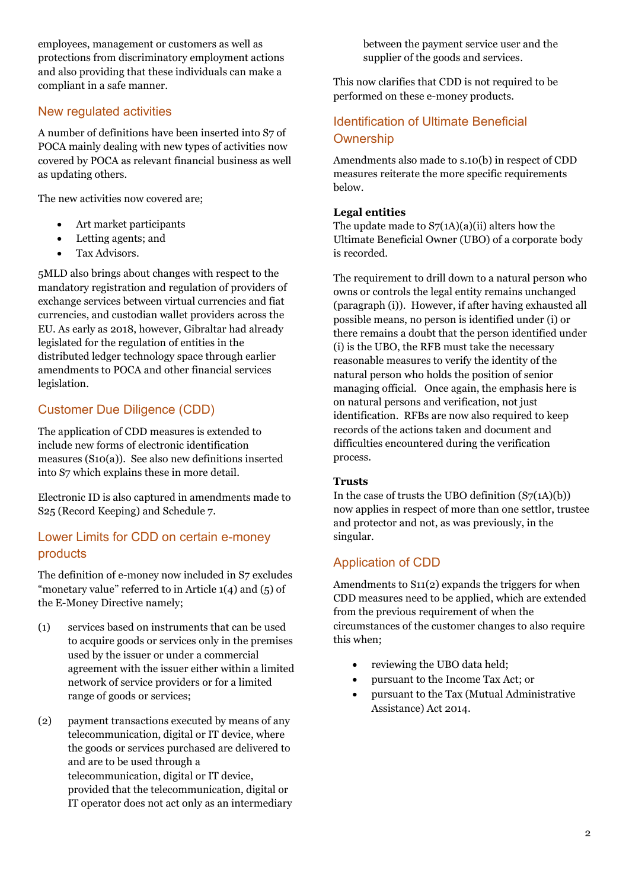employees, management or customers as well as protections from discriminatory employment actions and also providing that these individuals can make a compliant in a safe manner.

#### New regulated activities

A number of definitions have been inserted into S7 of POCA mainly dealing with new types of activities now covered by POCA as relevant financial business as well as updating others.

The new activities now covered are;

- Art market participants
- Letting agents; and
- Tax Advisors.

5MLD also brings about changes with respect to the mandatory registration and regulation of providers of exchange services between virtual currencies and fiat currencies, and custodian wallet providers across the EU. As early as 2018, however, Gibraltar had already legislated for the regulation of entities in the distributed ledger technology space through earlier amendments to POCA and other financial services legislation.

# Customer Due Diligence (CDD)

The application of CDD measures is extended to include new forms of electronic identification measures (S10(a)). See also new definitions inserted into S7 which explains these in more detail.

Electronic ID is also captured in amendments made to S25 (Record Keeping) and Schedule 7.

#### Lower Limits for CDD on certain e-money products

The definition of e-money now included in S7 excludes "monetary value" referred to in Article  $1(4)$  and  $(5)$  of the E-Money Directive namely;

- (1) services based on instruments that can be used to acquire goods or services only in the premises used by the issuer or under a commercial agreement with the issuer either within a limited network of service providers or for a limited range of goods or services;
- (2) payment transactions executed by means of any telecommunication, digital or IT device, where the goods or services purchased are delivered to and are to be used through a telecommunication, digital or IT device, provided that the telecommunication, digital or IT operator does not act only as an intermediary

between the payment service user and the supplier of the goods and services.

This now clarifies that CDD is not required to be performed on these e-money products.

# Identification of Ultimate Beneficial **Ownership**

Amendments also made to s.10(b) in respect of CDD measures reiterate the more specific requirements below.

#### **Legal entities**

The update made to  $S7(1A)(a)(ii)$  alters how the Ultimate Beneficial Owner (UBO) of a corporate body is recorded.

The requirement to drill down to a natural person who owns or controls the legal entity remains unchanged (paragraph (i)). However, if after having exhausted all possible means, no person is identified under (i) or there remains a doubt that the person identified under (i) is the UBO, the RFB must take the necessary reasonable measures to verify the identity of the natural person who holds the position of senior managing official. Once again, the emphasis here is on natural persons and verification, not just identification. RFBs are now also required to keep records of the actions taken and document and difficulties encountered during the verification process.

#### **Trusts**

In the case of trusts the UBO definition  $(S7(1A)(b))$ now applies in respect of more than one settlor, trustee and protector and not, as was previously, in the singular.

#### Application of CDD

Amendments to S11(2) expands the triggers for when CDD measures need to be applied, which are extended from the previous requirement of when the circumstances of the customer changes to also require this when;

- reviewing the UBO data held:
- pursuant to the Income Tax Act; or
- pursuant to the Tax (Mutual Administrative Assistance) Act 2014.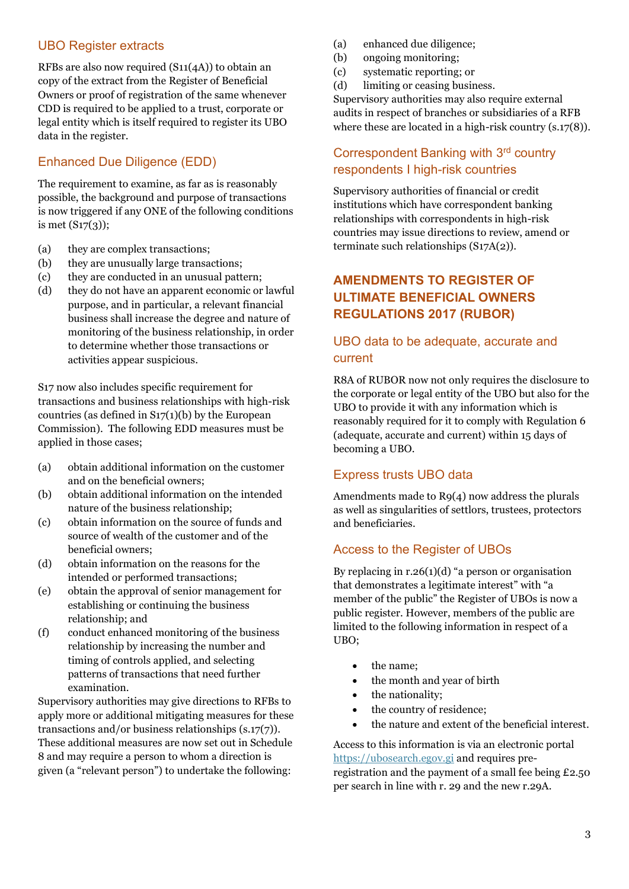#### UBO Register extracts

RFBs are also now required (S11(4A)) to obtain an copy of the extract from the Register of Beneficial Owners or proof of registration of the same whenever CDD is required to be applied to a trust, corporate or legal entity which is itself required to register its UBO data in the register.

# Enhanced Due Diligence (EDD)

The requirement to examine, as far as is reasonably possible, the background and purpose of transactions is now triggered if any ONE of the following conditions is met (S17(3));

- (a) they are complex transactions;
- (b) they are unusually large transactions;
- (c) they are conducted in an unusual pattern;
- (d) they do not have an apparent economic or lawful purpose, and in particular, a relevant financial business shall increase the degree and nature of monitoring of the business relationship, in order to determine whether those transactions or activities appear suspicious.

S17 now also includes specific requirement for transactions and business relationships with high-risk countries (as defined in  $S_1(1)(b)$  by the European Commission). The following EDD measures must be applied in those cases;

- (a) obtain additional information on the customer and on the beneficial owners;
- (b) obtain additional information on the intended nature of the business relationship;
- (c) obtain information on the source of funds and source of wealth of the customer and of the beneficial owners;
- (d) obtain information on the reasons for the intended or performed transactions;
- (e) obtain the approval of senior management for establishing or continuing the business relationship; and
- (f) conduct enhanced monitoring of the business relationship by increasing the number and timing of controls applied, and selecting patterns of transactions that need further examination.

Supervisory authorities may give directions to RFBs to apply more or additional mitigating measures for these transactions and/or business relationships (s.17(7)). These additional measures are now set out in Schedule 8 and may require a person to whom a direction is given (a "relevant person") to undertake the following:

- (a) enhanced due diligence;
- (b) ongoing monitoring;
- (c) systematic reporting; or
- (d) limiting or ceasing business.

Supervisory authorities may also require external audits in respect of branches or subsidiaries of a RFB where these are located in a high-risk country (s.17(8)).

#### Correspondent Banking with 3<sup>rd</sup> country respondents I high-risk countries

Supervisory authorities of financial or credit institutions which have correspondent banking relationships with correspondents in high-risk countries may issue directions to review, amend or terminate such relationships (S17A(2)).

#### **AMENDMENTS TO REGISTER OF ULTIMATE BENEFICIAL OWNERS REGULATIONS 2017 (RUBOR)**

#### UBO data to be adequate, accurate and current

R8A of RUBOR now not only requires the disclosure to the corporate or legal entity of the UBO but also for the UBO to provide it with any information which is reasonably required for it to comply with Regulation 6 (adequate, accurate and current) within 15 days of becoming a UBO.

#### Express trusts UBO data

Amendments made to R9(4) now address the plurals as well as singularities of settlors, trustees, protectors and beneficiaries.

#### Access to the Register of UBOs

By replacing in  $r.26(1)(d)$  "a person or organisation that demonstrates a legitimate interest" with "a member of the public" the Register of UBOs is now a public register. However, members of the public are limited to the following information in respect of a UBO;

- the name;
- the month and year of birth
- the nationality;
- the country of residence;
- the nature and extent of the beneficial interest.

Access to this information is via an electronic portal [https://ubosearch.egov.gi](https://ubosearch.egov.gi/) and requires preregistration and the payment of a small fee being £2.50 per search in line with r. 29 and the new r.29A.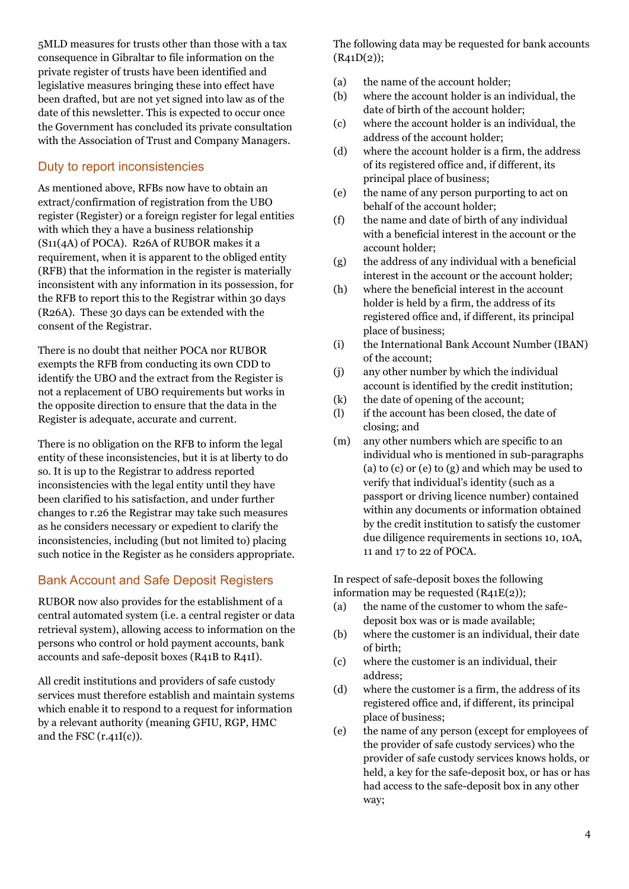5MLD measures for trusts other than those with a tax consequence in Gibraltar to file information on the private register of trusts have been identified and legislative measures bringing these into effect have been drafted, but are not yet signed into law as of the date of this newsletter. This is expected to occur once the Government has concluded its private consultation with the Association of Trust and Company Managers.

#### Duty to report inconsistencies

As mentioned above, RFBs now have to obtain an extract/confirmation of registration from the UBO register (Register) or a foreign register for legal entities with which they a have a business relationship (S11(4A) of POCA). R26A of RUBOR makes it a requirement, when it is apparent to the obliged entity (RFB) that the information in the register is materially inconsistent with any information in its possession, for the RFB to report this to the Registrar within 30 days (R26A). These 30 days can be extended with the consent of the Registrar.

There is no doubt that neither POCA nor RUBOR exempts the RFB from conducting its own CDD to identify the UBO and the extract from the Register is not a replacement of UBO requirements but works in the opposite direction to ensure that the data in the Register is adequate, accurate and current.

There is no obligation on the RFB to inform the legal entity of these inconsistencies, but it is at liberty to do so. It is up to the Registrar to address reported inconsistencies with the legal entity until they have been clarified to his satisfaction, and under further changes to r.26 the Registrar may take such measures as he considers necessary or expedient to clarify the inconsistencies, including (but not limited to) placing such notice in the Register as he considers appropriate.

#### Bank Account and Safe Deposit Registers

RUBOR now also provides for the establishment of a central automated system (i.e. a central register or data retrieval system), allowing access to information on the persons who control or hold payment accounts, bank accounts and safe-deposit boxes (R41B to R41I).

All credit institutions and providers of safe custody services must therefore establish and maintain systems which enable it to respond to a request for information by a relevant authority (meaning GFIU, RGP, HMC and the FSC  $(r.41I(c))$ .

The following data may be requested for bank accounts  $(R41D(2))$ ;

- (a) the name of the account holder;
- (b) where the account holder is an individual, the date of birth of the account holder;
- (c) where the account holder is an individual, the address of the account holder;
- (d) where the account holder is a firm, the address of its registered office and, if different, its principal place of business;
- (e) the name of any person purporting to act on behalf of the account holder;
- (f) the name and date of birth of any individual with a beneficial interest in the account or the account holder;
- (g) the address of any individual with a beneficial interest in the account or the account holder;
- (h) where the beneficial interest in the account holder is held by a firm, the address of its registered office and, if different, its principal place of business;
- (i) the International Bank Account Number (IBAN) of the account;
- (j) any other number by which the individual account is identified by the credit institution;
- (k) the date of opening of the account;
- (l) if the account has been closed, the date of closing; and
- (m) any other numbers which are specific to an individual who is mentioned in sub-paragraphs (a) to (c) or (e) to (g) and which may be used to verify that individual's identity (such as a passport or driving licence number) contained within any documents or information obtained by the credit institution to satisfy the customer due diligence requirements in sections 10, 10A, 11 and 17 to 22 of POCA.

In respect of safe-deposit boxes the following information may be requested (R41E(2));

- (a) the name of the customer to whom the safedeposit box was or is made available;
- (b) where the customer is an individual, their date of birth;
- (c) where the customer is an individual, their address;
- (d) where the customer is a firm, the address of its registered office and, if different, its principal place of business;
- (e) the name of any person (except for employees of the provider of safe custody services) who the provider of safe custody services knows holds, or held, a key for the safe-deposit box, or has or has had access to the safe-deposit box in any other way;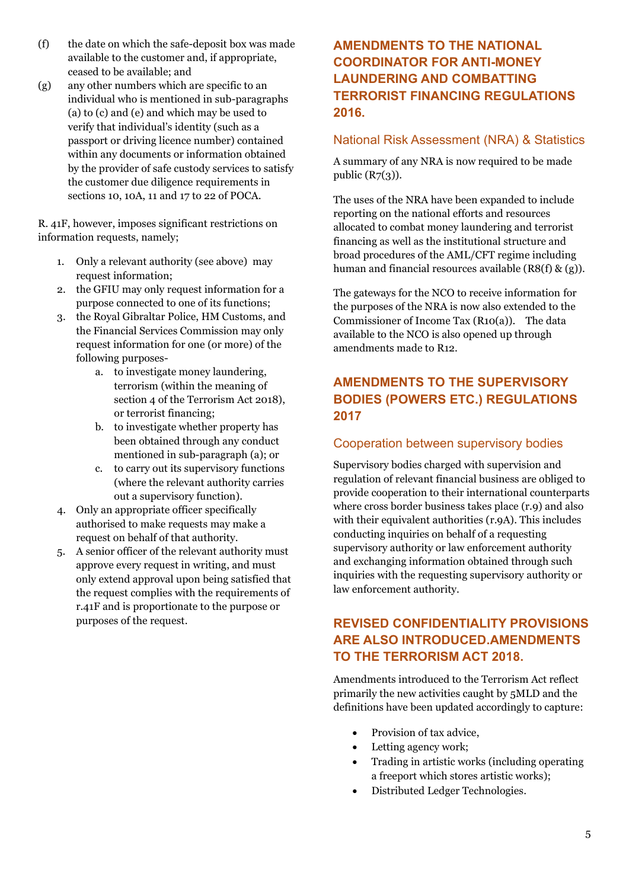- (f) the date on which the safe-deposit box was made available to the customer and, if appropriate, ceased to be available; and
- (g) any other numbers which are specific to an individual who is mentioned in sub-paragraphs (a) to (c) and (e) and which may be used to verify that individual's identity (such as a passport or driving licence number) contained within any documents or information obtained by the provider of safe custody services to satisfy the customer due diligence requirements in sections 10, 10A, 11 and 17 to 22 of POCA.

R. 41F, however, imposes significant restrictions on information requests, namely;

- 1. Only a relevant authority (see above) may request information;
- 2. the GFIU may only request information for a purpose connected to one of its functions;
- 3. the Royal Gibraltar Police, HM Customs, and the Financial Services Commission may only request information for one (or more) of the following purposes
	- a. to investigate money laundering, terrorism (within the meaning of section 4 of the Terrorism Act 2018), or terrorist financing;
	- b. to investigate whether property has been obtained through any conduct mentioned in sub-paragraph (a); or
	- c. to carry out its supervisory functions (where the relevant authority carries out a supervisory function).
- 4. Only an appropriate officer specifically authorised to make requests may make a request on behalf of that authority.
- 5. A senior officer of the relevant authority must approve every request in writing, and must only extend approval upon being satisfied that the request complies with the requirements of r.41F and is proportionate to the purpose or purposes of the request.

# **AMENDMENTS TO THE NATIONAL COORDINATOR FOR ANTI-MONEY LAUNDERING AND COMBATTING TERRORIST FINANCING REGULATIONS 2016.**

#### National Risk Assessment (NRA) & Statistics

A summary of any NRA is now required to be made public  $(R7(3))$ .

The uses of the NRA have been expanded to include reporting on the national efforts and resources allocated to combat money laundering and terrorist financing as well as the institutional structure and broad procedures of the AML/CFT regime including human and financial resources available  $(R8(f) \& (g))$ .

The gateways for the NCO to receive information for the purposes of the NRA is now also extended to the Commissioner of Income Tax (R10(a)). The data available to the NCO is also opened up through amendments made to R12.

# **AMENDMENTS TO THE SUPERVISORY BODIES (POWERS ETC.) REGULATIONS 2017**

#### Cooperation between supervisory bodies

Supervisory bodies charged with supervision and regulation of relevant financial business are obliged to provide cooperation to their international counterparts where cross border business takes place (r.9) and also with their equivalent authorities (r.9A). This includes conducting inquiries on behalf of a requesting supervisory authority or law enforcement authority and exchanging information obtained through such inquiries with the requesting supervisory authority or law enforcement authority.

# **REVISED CONFIDENTIALITY PROVISIONS ARE ALSO INTRODUCED.AMENDMENTS TO THE TERRORISM ACT 2018.**

Amendments introduced to the Terrorism Act reflect primarily the new activities caught by 5MLD and the definitions have been updated accordingly to capture:

- Provision of tax advice,
- Letting agency work;
- Trading in artistic works (including operating a freeport which stores artistic works);
- Distributed Ledger Technologies.